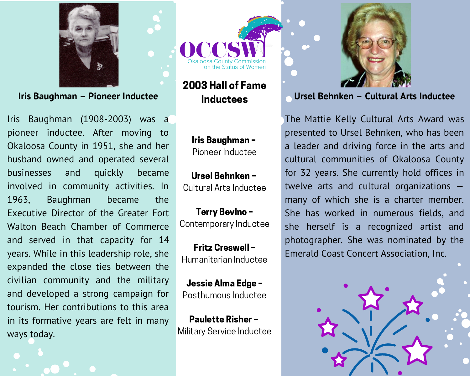

Iris Baughman - Pioneer Inductee

Iris Baughman (1908-2003) was a pioneer inductee. After moving to Okaloosa County in 1951, she and her husband owned and operated several businesses and quickly became involved in community activities. In 1963. Baughman became the Executive Director of the Greater Fort Walton Beach Chamber of Commerce and served in that capacity for 14 years. While in this leadership role, she expanded the close ties between the civilian community and the military and developed a strong campaign for tourism. Her contributions to this area in its formative years are felt in many ways today.



2003 Hall of Fame **Inductees** 

> Iris Baughman-Pioneer Inductee

Ursel Behnken -Cultural Arts Inductee

**Terry Bevino-**Contemporary Inductee

**Fritz Creswell -**Humanitarian Inductee

Jessie Alma Edge -Posthumous Inductee

**Paulette Risher -**Military Service Inductee



## Ursel Behnken - Cultural Arts Inductee

The Mattie Kelly Cultural Arts Award was presented to Ursel Behnken, who has been a leader and driving force in the arts and cultural communities of Okaloosa County for 32 years. She currently hold offices in twelve arts and cultural organizations  $$ many of which she is a charter member. She has worked in numerous fields, and she herself is a recognized artist and photographer. She was nominated by the **Emerald Coast Concert Association, Inc.** 

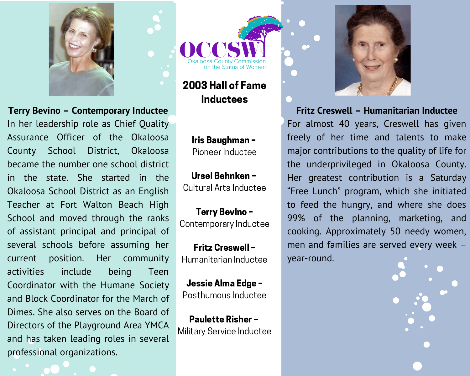

Terry Bevino - Contemporary Inductee In her leadership role as Chief Quality Assurance Officer of the Okaloosa County School District, Okaloosa became the number one school district in the state. She started in the Okaloosa School District as an English Teacher at Fort Walton Beach High School and moved through the ranks of assistant principal and principal of several schools before assuming her position. Her community current activities include being Teen Coordinator with the Humane Society and Block Coordinator for the March of Dimes. She also serves on the Board of Directors of the Playground Area YMCA and has taken leading roles in several professional organizations.

2003 Hall of Fame **Inductees** 

Iris Baughman-Pioneer Inductee

Ursel Behnken -Cultural Arts Inductee

**Terry Bevino-**Contemporary Inductee

**Fritz Creswell -**Humanitarian Inductee

Jessie Alma Edge -Posthumous Inductee

**Paulette Risher -**Military Service Inductee



Fritz Creswell - Humanitarian Inductee

For almost 40 years, Creswell has given freely of her time and talents to make major contributions to the quality of life for the underprivileged in Okaloosa County. Her greatest contribution is a Saturday "Free Lunch" program, which she initiated to feed the hungry, and where she does 99% of the planning, marketing, and cooking. Approximately 50 needy women, men and families are served every week year-round.